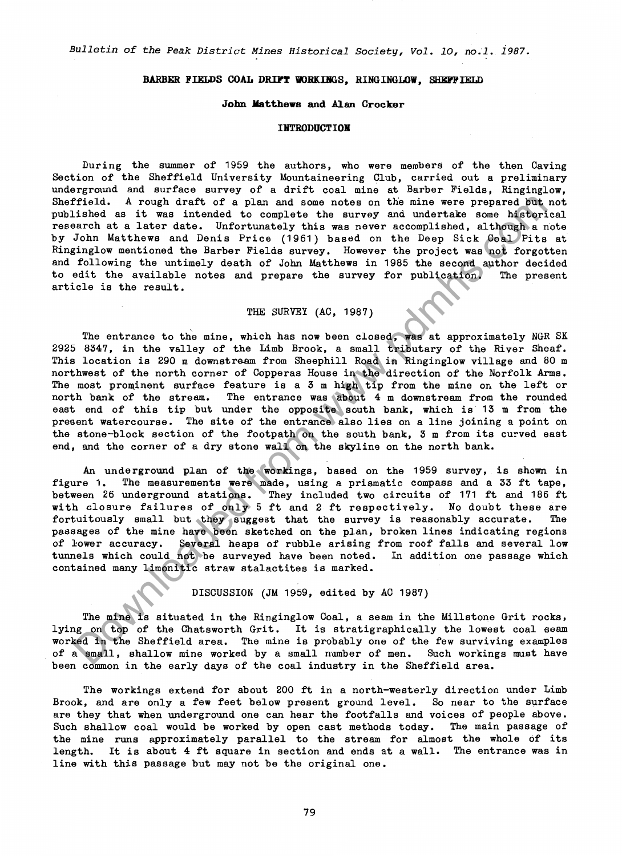*Bulletin of the Peak District Mines Historical Society, Vol. 10, no.1. 1987.* 

## BARBER FIELDS COAL DRIFT WORKINGS. RINGINGLOW. SHEFFIELD

#### **John Matthews and Alan Crocker**

## **IBTRODUCTIOB**

During the summer of 1959 the authors, who were members of the then Caving Section of the Sheffield University Mountaineering Club, carried out a preliminary underground and surface survey of a drift coal mine at Barber Fields, Ringinglow, Sheffield. A rough draft of a plan and some notes on the mine were prepared but not published as it was intended to complete the survey and undertake some historical research at a later date. Unfortunately this was never accomplished, although a note by John Matthews and Denis Price (1961) based on the Deep Sick Coal Pits at Ringinglow mentioned the Barber Fields survey. However the project was not forgotten and following the untimely death of John Matthews in 1985 the second author decided<br>to edit the available notes and prepare the survey for publication. The present to edit the available notes and prepare the survey for publication. article is the result.

# THE SURVEY (AC, 1987)

fried. A rough draft of a plan and some notes on the mine were preserved by<br>the same intended to complete the survey and undertake some higher<br>hard a later data information in the later of the survey and undertake some hi The entrance to the mine, which has now been closed, was at approximately NGR SK 2925 8347, in the valley of the Limb Brook, a small tributary of the River Sheaf. This location is 290 m downstream from Sheephill Road in Ringinglow village and 80 m northwest of the north corner of Copperas House in the direction of the Norfolk Arms. The most prominent surface feature is a  $3$  m high tip from the mine on the left or north bank of the stream. The entrance was about 4 m downstream from the rounded east end of this tip but under the opposite south bank, which is 13 m from the present watercourse. The site of the entrance also lies on a line joining a point on the stone-block section of the footpath on the south bank, 3 m from its curved east end, and the corner of a dry stone wall on the skyline on the north bank.

An underground plan of the workings, based on the 1959 survey, is shown in figure 1. The measurements were made, using a prismatic compass and a 33 ft tape, between 26 underground stations. They included two circuits of 171 ft and 186 ft with closure failures of only 5 ft and 2 ft respectively. No doubt these are<br>fortuitously small but they suggest that the survey is reasonably accurate. The fortuitously small but they suggest that the survey is reasonably accurate. passages of the mine have been sketched on the plan, broken lines indicating regions of lower accuracy. Several heaps of rubble arising from roof falls and several low tunnels which could not be surveyed have been noted. In addition one passage which contained many limonitic straw stalactites is marked.

DISCUSSION (JM 1959, edited by AC 1987)

The mine is situated in the Ringinglow Coal, a seam in the Millstone Grit rocks, lying on top of the Chatsworth Grit. It is stratigraphically the lowest coal seam worked in the Sheffield area. The mine is probably one of the few surviving examples of a small, shallow mine worked by a small number of men. Such workings must have been common in the early days of the coal industry in the Sheffield area.

The workings extend for about 200 ft in a north-westerly direction under Limb Brook, and are only a few feet below present ground level. So near to the surface are they that when underground one can hear the footfalls and voices of people above. Such shallow coal would be worked by open cast methods today. The main passage of the mine runs approximately parallel to the stream for almost the whole of its length. It is about 4 ft square in section and ends at a wall. The entrance was in line with this passage but may not be the original one.